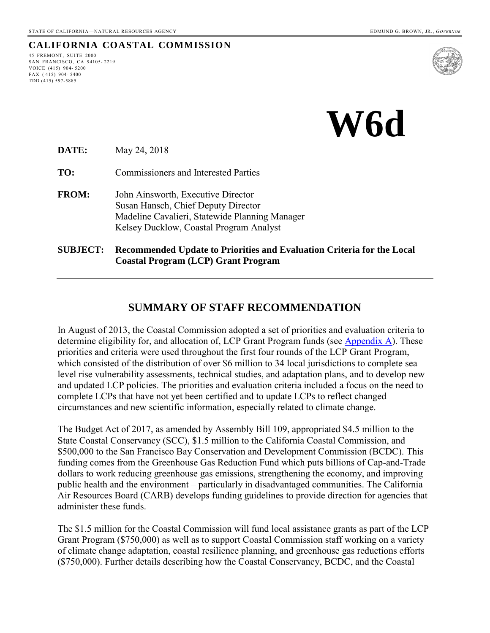#### **CALIFORNIA COASTAL COMMISSION**

45 FREMONT, SUITE 2000 SAN FRANCISCO, CA 94105- 2219 VOICE (415) 904- 5200 FAX ( 415) 904- 5400 TDD (415) 597-5885



 **W6d** 

**DATE:** May 24, 2018

**TO:** Commissioners and Interested Parties

- **FROM:** John Ainsworth, Executive Director Susan Hansch, Chief Deputy Director Madeline Cavalieri, Statewide Planning Manager Kelsey Ducklow, Coastal Program Analyst
- **SUBJECT: Recommended Update to Priorities and Evaluation Criteria for the Local Coastal Program (LCP) Grant Program**

#### **SUMMARY OF STAFF RECOMMENDATION**

In August of 2013, the Coastal Commission adopted a set of priorities and evaluation criteria to determine eligibility for, and allocation of, LCP Grant Program funds (see [Appendix A\)](#page-10-0). These priorities and criteria were used throughout the first four rounds of the LCP Grant Program, which consisted of the distribution of over \$6 million to 34 local jurisdictions to complete sea level rise vulnerability assessments, technical studies, and adaptation plans, and to develop new and updated LCP policies. The priorities and evaluation criteria included a focus on the need to complete LCPs that have not yet been certified and to update LCPs to reflect changed circumstances and new scientific information, especially related to climate change.

The Budget Act of 2017, as amended by Assembly Bill 109, appropriated \$4.5 million to the State Coastal Conservancy (SCC), \$1.5 million to the California Coastal Commission, and \$500,000 to the San Francisco Bay Conservation and Development Commission (BCDC). This funding comes from the Greenhouse Gas Reduction Fund which puts billions of Cap-and-Trade dollars to work reducing greenhouse gas emissions, strengthening the economy, and improving public health and the environment – particularly in disadvantaged communities. The California Air Resources Board (CARB) develops funding guidelines to provide direction for agencies that administer these funds.

The \$1.5 million for the Coastal Commission will fund local assistance grants as part of the LCP Grant Program (\$750,000) as well as to support Coastal Commission staff working on a variety of climate change adaptation, coastal resilience planning, and greenhouse gas reductions efforts (\$750,000). Further details describing how the Coastal Conservancy, BCDC, and the Coastal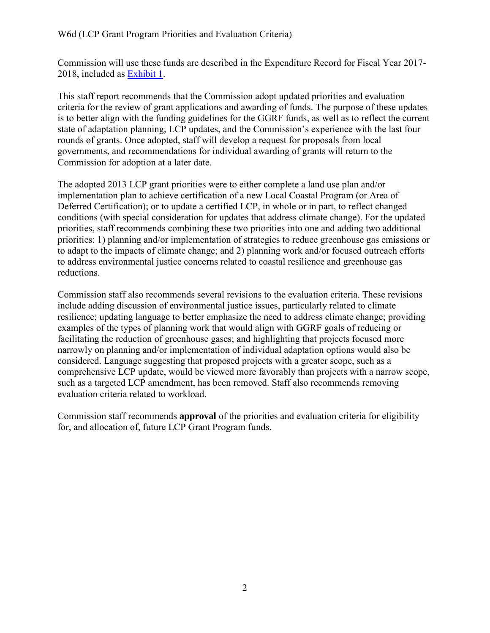Commission will use these funds are described in the Expenditure Record for Fiscal Year 2017- 2018, included as [Exhibit 1.](https://documents.coastal.ca.gov/reports/2018/6/w6d/w6d-6-2018-exhibits.pdf)

This staff report recommends that the Commission adopt updated priorities and evaluation criteria for the review of grant applications and awarding of funds. The purpose of these updates is to better align with the funding guidelines for the GGRF funds, as well as to reflect the current state of adaptation planning, LCP updates, and the Commission's experience with the last four rounds of grants. Once adopted, staff will develop a request for proposals from local governments, and recommendations for individual awarding of grants will return to the Commission for adoption at a later date.

The adopted 2013 LCP grant priorities were to either complete a land use plan and/or implementation plan to achieve certification of a new Local Coastal Program (or Area of Deferred Certification); or to update a certified LCP, in whole or in part, to reflect changed conditions (with special consideration for updates that address climate change). For the updated priorities, staff recommends combining these two priorities into one and adding two additional priorities: 1) planning and/or implementation of strategies to reduce greenhouse gas emissions or to adapt to the impacts of climate change; and 2) planning work and/or focused outreach efforts to address environmental justice concerns related to coastal resilience and greenhouse gas reductions.

Commission staff also recommends several revisions to the evaluation criteria. These revisions include adding discussion of environmental justice issues, particularly related to climate resilience; updating language to better emphasize the need to address climate change; providing examples of the types of planning work that would align with GGRF goals of reducing or facilitating the reduction of greenhouse gases; and highlighting that projects focused more narrowly on planning and/or implementation of individual adaptation options would also be considered. Language suggesting that proposed projects with a greater scope, such as a comprehensive LCP update, would be viewed more favorably than projects with a narrow scope, such as a targeted LCP amendment, has been removed. Staff also recommends removing evaluation criteria related to workload.

Commission staff recommends **approval** of the priorities and evaluation criteria for eligibility for, and allocation of, future LCP Grant Program funds.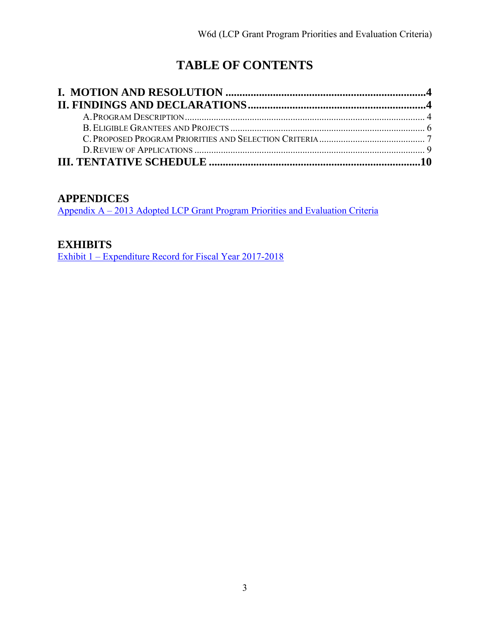# **TABLE OF CONTENTS**

### **APPENDICES**

Appendix A – [2013 Adopted LCP Grant Program Priorities and Evaluation Criteria](#page-10-0)

### **EXHIBITS**

[Exhibit 1 – Expenditure Record for Fiscal Year 2017-2018](https://documents.coastal.ca.gov/reports/2018/6/w6d/w6d-6-2018-exhibits.pdf)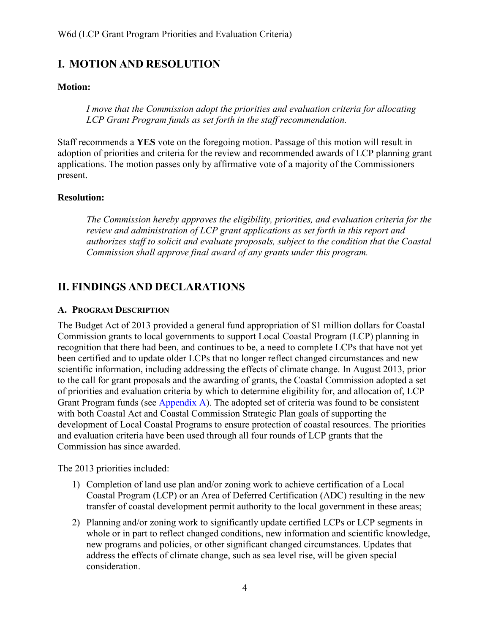### <span id="page-3-0"></span>**I. MOTION AND RESOLUTION**

#### **Motion:**

*I move that the Commission adopt the priorities and evaluation criteria for allocating LCP Grant Program funds as set forth in the staff recommendation.* 

Staff recommends a **YES** vote on the foregoing motion. Passage of this motion will result in adoption of priorities and criteria for the review and recommended awards of LCP planning grant applications. The motion passes only by affirmative vote of a majority of the Commissioners present.

#### **Resolution:**

*The Commission hereby approves the eligibility, priorities, and evaluation criteria for the review and administration of LCP grant applications as set forth in this report and authorizes staff to solicit and evaluate proposals, subject to the condition that the Coastal Commission shall approve final award of any grants under this program.* 

### <span id="page-3-1"></span>**II. FINDINGS AND DECLARATIONS**

#### <span id="page-3-2"></span>**A. PROGRAM DESCRIPTION**

The Budget Act of 2013 provided a general fund appropriation of \$1 million dollars for Coastal Commission grants to local governments to support Local Coastal Program (LCP) planning in recognition that there had been, and continues to be, a need to complete LCPs that have not yet been certified and to update older LCPs that no longer reflect changed circumstances and new scientific information, including addressing the effects of climate change. In August 2013, prior to the call for grant proposals and the awarding of grants, the Coastal Commission adopted a set of priorities and evaluation criteria by which to determine eligibility for, and allocation of, LCP Grant Program funds (see [Appendix A\)](#page-10-0). The adopted set of criteria was found to be consistent with both Coastal Act and Coastal Commission Strategic Plan goals of supporting the development of Local Coastal Programs to ensure protection of coastal resources. The priorities and evaluation criteria have been used through all four rounds of LCP grants that the Commission has since awarded.

The 2013 priorities included:

- 1) Completion of land use plan and/or zoning work to achieve certification of a Local Coastal Program (LCP) or an Area of Deferred Certification (ADC) resulting in the new transfer of coastal development permit authority to the local government in these areas;
- 2) Planning and/or zoning work to significantly update certified LCPs or LCP segments in whole or in part to reflect changed conditions, new information and scientific knowledge, new programs and policies, or other significant changed circumstances. Updates that address the effects of climate change, such as sea level rise, will be given special consideration.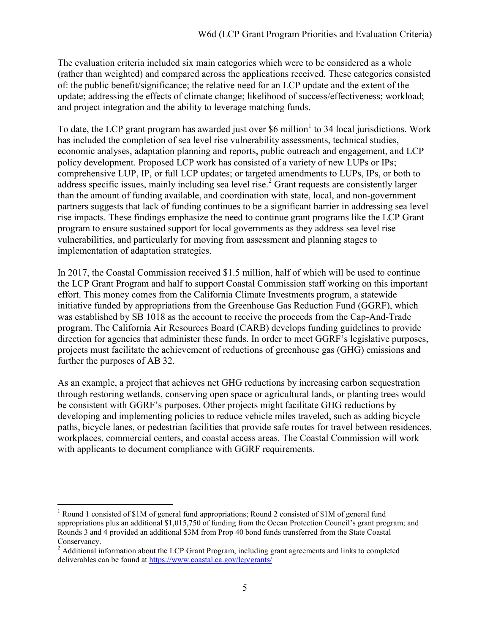The evaluation criteria included six main categories which were to be considered as a whole (rather than weighted) and compared across the applications received. These categories consisted of: the public benefit/significance; the relative need for an LCP update and the extent of the update; addressing the effects of climate change; likelihood of success/effectiveness; workload; and project integration and the ability to leverage matching funds.

To date, the LCP grant program has awarded just over \$6 million<sup>1</sup> to 34 local jurisdictions. Work has included the completion of sea level rise vulnerability assessments, technical studies, economic analyses, adaptation planning and reports, public outreach and engagement, and LCP policy development. Proposed LCP work has consisted of a variety of new LUPs or IPs; comprehensive LUP, IP, or full LCP updates; or targeted amendments to LUPs, IPs, or both to address specific issues, mainly including sea level rise.<sup>2</sup> Grant requests are consistently larger than the amount of funding available, and coordination with state, local, and non-government partners suggests that lack of funding continues to be a significant barrier in addressing sea level rise impacts. These findings emphasize the need to continue grant programs like the LCP Grant program to ensure sustained support for local governments as they address sea level rise vulnerabilities, and particularly for moving from assessment and planning stages to implementation of adaptation strategies.

In 2017, the Coastal Commission received \$1.5 million, half of which will be used to continue the LCP Grant Program and half to support Coastal Commission staff working on this important effort. This money comes from the California Climate Investments program, a statewide initiative funded by appropriations from the Greenhouse Gas Reduction Fund (GGRF), which was established by SB 1018 as the account to receive the proceeds from the Cap-And-Trade program. The California Air Resources Board (CARB) develops funding guidelines to provide direction for agencies that administer these funds. In order to meet GGRF's legislative purposes, projects must facilitate the achievement of reductions of greenhouse gas (GHG) emissions and further the purposes of AB 32.

As an example, a project that achieves net GHG reductions by increasing carbon sequestration through restoring wetlands, conserving open space or agricultural lands, or planting trees would be consistent with GGRF's purposes. Other projects might facilitate GHG reductions by developing and implementing policies to reduce vehicle miles traveled, such as adding bicycle paths, bicycle lanes, or pedestrian facilities that provide safe routes for travel between residences, workplaces, commercial centers, and coastal access areas. The Coastal Commission will work with applicants to document compliance with GGRF requirements.

 $\overline{a}$ <sup>1</sup> Round 1 consisted of \$1M of general fund appropriations; Round 2 consisted of \$1M of general fund appropriations plus an additional \$1,015,750 of funding from the Ocean Protection Council's grant program; and Rounds 3 and 4 provided an additional \$3M from Prop 40 bond funds transferred from the State Coastal Conservancy.

 $2$  Additional information about the LCP Grant Program, including grant agreements and links to completed deliverables can be found at<https://www.coastal.ca.gov/lcp/grants/>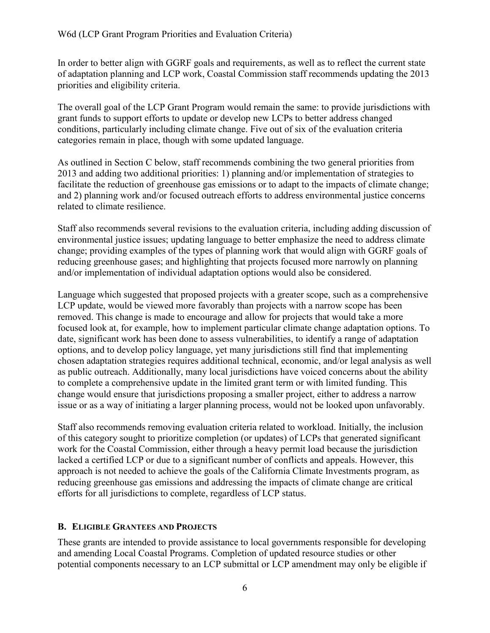In order to better align with GGRF goals and requirements, as well as to reflect the current state of adaptation planning and LCP work, Coastal Commission staff recommends updating the 2013 priorities and eligibility criteria.

The overall goal of the LCP Grant Program would remain the same: to provide jurisdictions with grant funds to support efforts to update or develop new LCPs to better address changed conditions, particularly including climate change. Five out of six of the evaluation criteria categories remain in place, though with some updated language.

As outlined in Section C below, staff recommends combining the two general priorities from 2013 and adding two additional priorities: 1) planning and/or implementation of strategies to facilitate the reduction of greenhouse gas emissions or to adapt to the impacts of climate change; and 2) planning work and/or focused outreach efforts to address environmental justice concerns related to climate resilience.

Staff also recommends several revisions to the evaluation criteria, including adding discussion of environmental justice issues; updating language to better emphasize the need to address climate change; providing examples of the types of planning work that would align with GGRF goals of reducing greenhouse gases; and highlighting that projects focused more narrowly on planning and/or implementation of individual adaptation options would also be considered.

Language which suggested that proposed projects with a greater scope, such as a comprehensive LCP update, would be viewed more favorably than projects with a narrow scope has been removed. This change is made to encourage and allow for projects that would take a more focused look at, for example, how to implement particular climate change adaptation options. To date, significant work has been done to assess vulnerabilities, to identify a range of adaptation options, and to develop policy language, yet many jurisdictions still find that implementing chosen adaptation strategies requires additional technical, economic, and/or legal analysis as well as public outreach. Additionally, many local jurisdictions have voiced concerns about the ability to complete a comprehensive update in the limited grant term or with limited funding. This change would ensure that jurisdictions proposing a smaller project, either to address a narrow issue or as a way of initiating a larger planning process, would not be looked upon unfavorably.

Staff also recommends removing evaluation criteria related to workload. Initially, the inclusion of this category sought to prioritize completion (or updates) of LCPs that generated significant work for the Coastal Commission, either through a heavy permit load because the jurisdiction lacked a certified LCP or due to a significant number of conflicts and appeals. However, this approach is not needed to achieve the goals of the California Climate Investments program, as reducing greenhouse gas emissions and addressing the impacts of climate change are critical efforts for all jurisdictions to complete, regardless of LCP status.

#### <span id="page-5-0"></span>**B. ELIGIBLE GRANTEES AND PROJECTS**

These grants are intended to provide assistance to local governments responsible for developing and amending Local Coastal Programs. Completion of updated resource studies or other potential components necessary to an LCP submittal or LCP amendment may only be eligible if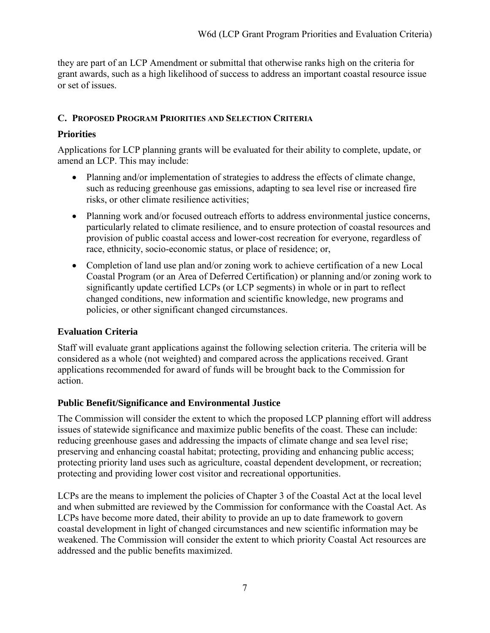they are part of an LCP Amendment or submittal that otherwise ranks high on the criteria for grant awards, such as a high likelihood of success to address an important coastal resource issue or set of issues.

### <span id="page-6-0"></span>**C. PROPOSED PROGRAM PRIORITIES AND SELECTION CRITERIA**

### **Priorities**

Applications for LCP planning grants will be evaluated for their ability to complete, update, or amend an LCP. This may include:

- Planning and/or implementation of strategies to address the effects of climate change, such as reducing greenhouse gas emissions, adapting to sea level rise or increased fire risks, or other climate resilience activities;
- Planning work and/or focused outreach efforts to address environmental justice concerns, particularly related to climate resilience, and to ensure protection of coastal resources and provision of public coastal access and lower-cost recreation for everyone, regardless of race, ethnicity, socio-economic status, or place of residence; or,
- Completion of land use plan and/or zoning work to achieve certification of a new Local Coastal Program (or an Area of Deferred Certification) or planning and/or zoning work to significantly update certified LCPs (or LCP segments) in whole or in part to reflect changed conditions, new information and scientific knowledge, new programs and policies, or other significant changed circumstances.

### **Evaluation Criteria**

Staff will evaluate grant applications against the following selection criteria. The criteria will be considered as a whole (not weighted) and compared across the applications received. Grant applications recommended for award of funds will be brought back to the Commission for action.

### **Public Benefit/Significance and Environmental Justice**

The Commission will consider the extent to which the proposed LCP planning effort will address issues of statewide significance and maximize public benefits of the coast. These can include: reducing greenhouse gases and addressing the impacts of climate change and sea level rise; preserving and enhancing coastal habitat; protecting, providing and enhancing public access; protecting priority land uses such as agriculture, coastal dependent development, or recreation; protecting and providing lower cost visitor and recreational opportunities.

LCPs are the means to implement the policies of Chapter 3 of the Coastal Act at the local level and when submitted are reviewed by the Commission for conformance with the Coastal Act. As LCPs have become more dated, their ability to provide an up to date framework to govern coastal development in light of changed circumstances and new scientific information may be weakened. The Commission will consider the extent to which priority Coastal Act resources are addressed and the public benefits maximized.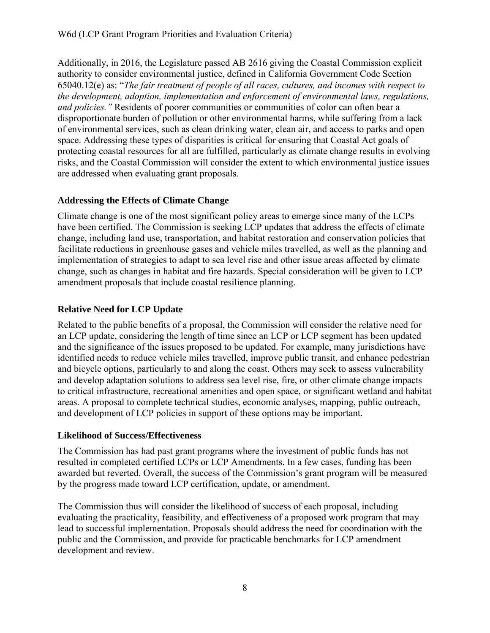Additionally, in 2016, the Legislature passed AB 2616 giving the Coastal Commission explicit authority to consider environmental justice, defined in California Government Code Section 65040.12(e) as: "*The fair treatment of people of all races, cultures, and incomes with respect to the development, adoption, implementation and enforcement of environmental laws, regulations, and policies."* Residents of poorer communities or communities of color can often bear a disproportionate burden of pollution or other environmental harms, while suffering from a lack of environmental services, such as clean drinking water, clean air, and access to parks and open space. Addressing these types of disparities is critical for ensuring that Coastal Act goals of protecting coastal resources for all are fulfilled, particularly as climate change results in evolving risks, and the Coastal Commission will consider the extent to which environmental justice issues are addressed when evaluating grant proposals.

#### **Addressing the Effects of Climate Change**

Climate change is one of the most significant policy areas to emerge since many of the LCPs have been certified. The Commission is seeking LCP updates that address the effects of climate change, including land use, transportation, and habitat restoration and conservation policies that facilitate reductions in greenhouse gases and vehicle miles travelled, as well as the planning and implementation of strategies to adapt to sea level rise and other issue areas affected by climate change, such as changes in habitat and fire hazards. Special consideration will be given to LCP amendment proposals that include coastal resilience planning.

### **Relative Need for LCP Update**

Related to the public benefits of a proposal, the Commission will consider the relative need for an LCP update, considering the length of time since an LCP or LCP segment has been updated and the significance of the issues proposed to be updated. For example, many jurisdictions have identified needs to reduce vehicle miles travelled, improve public transit, and enhance pedestrian and bicycle options, particularly to and along the coast. Others may seek to assess vulnerability and develop adaptation solutions to address sea level rise, fire, or other climate change impacts to critical infrastructure, recreational amenities and open space, or significant wetland and habitat areas. A proposal to complete technical studies, economic analyses, mapping, public outreach, and development of LCP policies in support of these options may be important.

#### **Likelihood of Success/Effectiveness**

The Commission has had past grant programs where the investment of public funds has not resulted in completed certified LCPs or LCP Amendments. In a few cases, funding has been awarded but reverted. Overall, the success of the Commission's grant program will be measured by the progress made toward LCP certification, update, or amendment.

The Commission thus will consider the likelihood of success of each proposal, including evaluating the practicality, feasibility, and effectiveness of a proposed work program that may lead to successful implementation. Proposals should address the need for coordination with the public and the Commission, and provide for practicable benchmarks for LCP amendment development and review.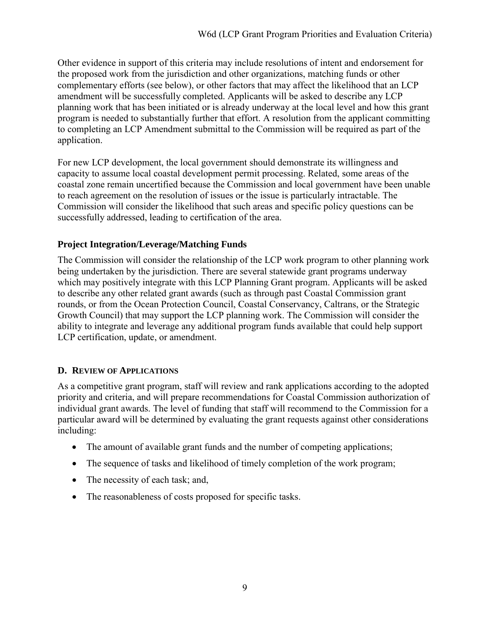Other evidence in support of this criteria may include resolutions of intent and endorsement for the proposed work from the jurisdiction and other organizations, matching funds or other complementary efforts (see below), or other factors that may affect the likelihood that an LCP amendment will be successfully completed. Applicants will be asked to describe any LCP planning work that has been initiated or is already underway at the local level and how this grant program is needed to substantially further that effort. A resolution from the applicant committing to completing an LCP Amendment submittal to the Commission will be required as part of the application.

For new LCP development, the local government should demonstrate its willingness and capacity to assume local coastal development permit processing. Related, some areas of the coastal zone remain uncertified because the Commission and local government have been unable to reach agreement on the resolution of issues or the issue is particularly intractable. The Commission will consider the likelihood that such areas and specific policy questions can be successfully addressed, leading to certification of the area.

#### **Project Integration/Leverage/Matching Funds**

The Commission will consider the relationship of the LCP work program to other planning work being undertaken by the jurisdiction. There are several statewide grant programs underway which may positively integrate with this LCP Planning Grant program. Applicants will be asked to describe any other related grant awards (such as through past Coastal Commission grant rounds, or from the Ocean Protection Council, Coastal Conservancy, Caltrans, or the Strategic Growth Council) that may support the LCP planning work. The Commission will consider the ability to integrate and leverage any additional program funds available that could help support LCP certification, update, or amendment.

#### <span id="page-8-0"></span>**D. REVIEW OF APPLICATIONS**

As a competitive grant program, staff will review and rank applications according to the adopted priority and criteria, and will prepare recommendations for Coastal Commission authorization of individual grant awards. The level of funding that staff will recommend to the Commission for a particular award will be determined by evaluating the grant requests against other considerations including:

- The amount of available grant funds and the number of competing applications;
- The sequence of tasks and likelihood of timely completion of the work program;
- The necessity of each task; and,
- The reasonableness of costs proposed for specific tasks.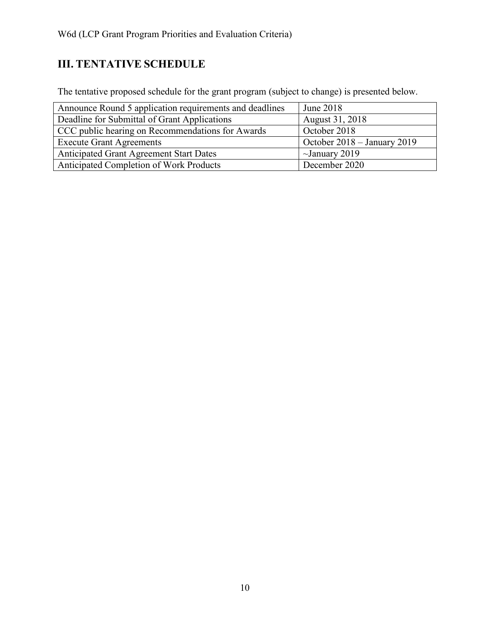## <span id="page-9-0"></span>**III. TENTATIVE SCHEDULE**

The tentative proposed schedule for the grant program (subject to change) is presented below.

| Announce Round 5 application requirements and deadlines | June 2018                   |
|---------------------------------------------------------|-----------------------------|
| Deadline for Submittal of Grant Applications            | August 31, 2018             |
| CCC public hearing on Recommendations for Awards        | October 2018                |
| <b>Execute Grant Agreements</b>                         | October 2018 – January 2019 |
| <b>Anticipated Grant Agreement Start Dates</b>          | $\sim$ January 2019         |
| Anticipated Completion of Work Products                 | December 2020               |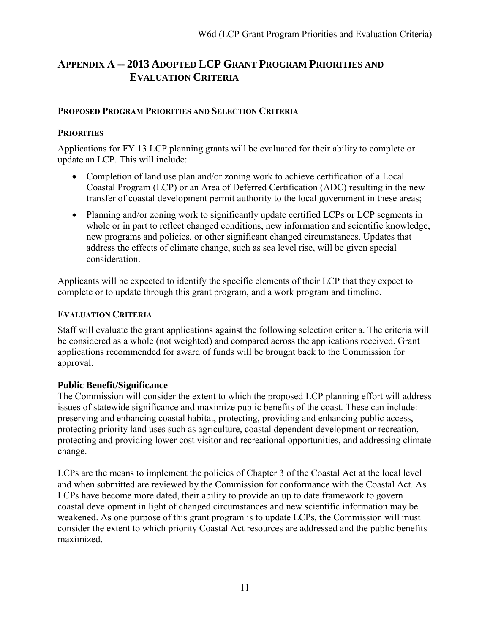### <span id="page-10-0"></span>**APPENDIX A -- 2013 ADOPTED LCP GRANT PROGRAM PRIORITIES AND EVALUATION CRITERIA**

#### **PROPOSED PROGRAM PRIORITIES AND SELECTION CRITERIA**

#### **PRIORITIES**

Applications for FY 13 LCP planning grants will be evaluated for their ability to complete or update an LCP. This will include:

- Completion of land use plan and/or zoning work to achieve certification of a Local Coastal Program (LCP) or an Area of Deferred Certification (ADC) resulting in the new transfer of coastal development permit authority to the local government in these areas;
- Planning and/or zoning work to significantly update certified LCPs or LCP segments in whole or in part to reflect changed conditions, new information and scientific knowledge, new programs and policies, or other significant changed circumstances. Updates that address the effects of climate change, such as sea level rise, will be given special consideration.

Applicants will be expected to identify the specific elements of their LCP that they expect to complete or to update through this grant program, and a work program and timeline.

#### **EVALUATION CRITERIA**

Staff will evaluate the grant applications against the following selection criteria. The criteria will be considered as a whole (not weighted) and compared across the applications received. Grant applications recommended for award of funds will be brought back to the Commission for approval.

#### **Public Benefit/Significance**

The Commission will consider the extent to which the proposed LCP planning effort will address issues of statewide significance and maximize public benefits of the coast. These can include: preserving and enhancing coastal habitat, protecting, providing and enhancing public access, protecting priority land uses such as agriculture, coastal dependent development or recreation, protecting and providing lower cost visitor and recreational opportunities, and addressing climate change.

LCPs are the means to implement the policies of Chapter 3 of the Coastal Act at the local level and when submitted are reviewed by the Commission for conformance with the Coastal Act. As LCPs have become more dated, their ability to provide an up to date framework to govern coastal development in light of changed circumstances and new scientific information may be weakened. As one purpose of this grant program is to update LCPs, the Commission will must consider the extent to which priority Coastal Act resources are addressed and the public benefits maximized.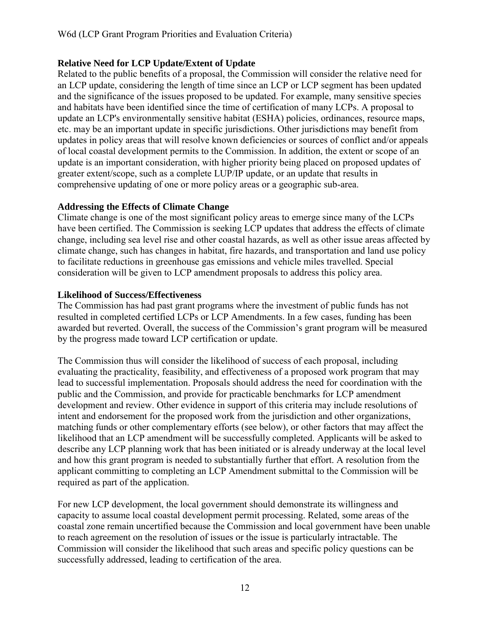#### **Relative Need for LCP Update/Extent of Update**

Related to the public benefits of a proposal, the Commission will consider the relative need for an LCP update, considering the length of time since an LCP or LCP segment has been updated and the significance of the issues proposed to be updated. For example, many sensitive species and habitats have been identified since the time of certification of many LCPs. A proposal to update an LCP's environmentally sensitive habitat (ESHA) policies, ordinances, resource maps, etc. may be an important update in specific jurisdictions. Other jurisdictions may benefit from updates in policy areas that will resolve known deficiencies or sources of conflict and/or appeals of local coastal development permits to the Commission. In addition, the extent or scope of an update is an important consideration, with higher priority being placed on proposed updates of greater extent/scope, such as a complete LUP/IP update, or an update that results in comprehensive updating of one or more policy areas or a geographic sub-area.

#### **Addressing the Effects of Climate Change**

Climate change is one of the most significant policy areas to emerge since many of the LCPs have been certified. The Commission is seeking LCP updates that address the effects of climate change, including sea level rise and other coastal hazards, as well as other issue areas affected by climate change, such has changes in habitat, fire hazards, and transportation and land use policy to facilitate reductions in greenhouse gas emissions and vehicle miles travelled. Special consideration will be given to LCP amendment proposals to address this policy area.

#### **Likelihood of Success/Effectiveness**

The Commission has had past grant programs where the investment of public funds has not resulted in completed certified LCPs or LCP Amendments. In a few cases, funding has been awarded but reverted. Overall, the success of the Commission's grant program will be measured by the progress made toward LCP certification or update.

The Commission thus will consider the likelihood of success of each proposal, including evaluating the practicality, feasibility, and effectiveness of a proposed work program that may lead to successful implementation. Proposals should address the need for coordination with the public and the Commission, and provide for practicable benchmarks for LCP amendment development and review. Other evidence in support of this criteria may include resolutions of intent and endorsement for the proposed work from the jurisdiction and other organizations, matching funds or other complementary efforts (see below), or other factors that may affect the likelihood that an LCP amendment will be successfully completed. Applicants will be asked to describe any LCP planning work that has been initiated or is already underway at the local level and how this grant program is needed to substantially further that effort. A resolution from the applicant committing to completing an LCP Amendment submittal to the Commission will be required as part of the application.

For new LCP development, the local government should demonstrate its willingness and capacity to assume local coastal development permit processing. Related, some areas of the coastal zone remain uncertified because the Commission and local government have been unable to reach agreement on the resolution of issues or the issue is particularly intractable. The Commission will consider the likelihood that such areas and specific policy questions can be successfully addressed, leading to certification of the area.